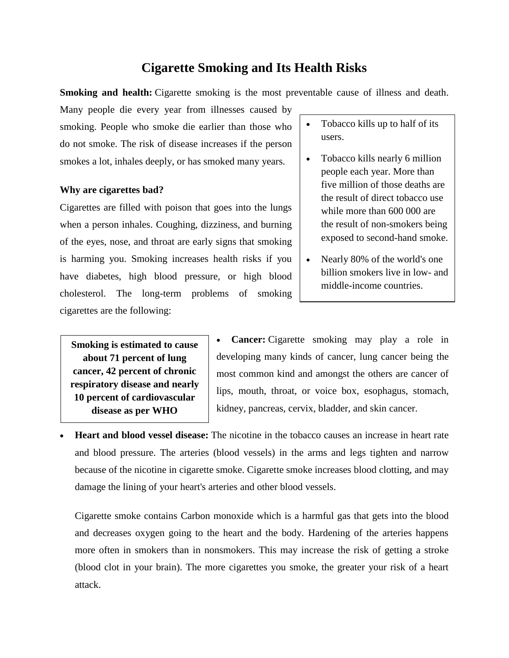# **Cigarette Smoking and Its Health Risks**

**Smoking and health:** Cigarette smoking is the most preventable cause of illness and death.

Many people die every year from illnesses caused by smoking. People who smoke die earlier than those who do not smoke. The risk of disease increases if the person smokes a lot, inhales deeply, or has smoked many years.

#### **Why are cigarettes bad?**

Cigarettes are filled with poison that goes into the lungs when a person inhales. Coughing, dizziness, and burning of the eyes, nose, and throat are early signs that smoking is harming you. Smoking increases health risks if you have diabetes, high blood pressure, or high blood cholesterol. The long-term problems of smoking cigarettes are the following:

- Tobacco kills up to half of its users.
- Tobacco kills nearly 6 million people each year. More than five million of those deaths are the result of direct tobacco use while more than 600 000 are the result of non-smokers being exposed to second-hand smoke.
- Nearly 80% of the world's one billion smokers live in low- and middle-income countries.

**Smoking is estimated to cause about 71 percent of lung cancer, 42 percent of chronic respiratory disease and nearly 10 percent of cardiovascular disease as per WHO**

 **Cancer:** Cigarette smoking may play a role in developing many kinds of cancer, lung cancer being the most common kind and amongst the others are cancer of lips, mouth, throat, or voice box, esophagus, stomach, kidney, pancreas, cervix, bladder, and skin cancer.

 **Heart and blood vessel disease:** The nicotine in the tobacco causes an increase in heart rate and blood pressure. The arteries (blood vessels) in the arms and legs tighten and narrow because of the nicotine in cigarette smoke. Cigarette smoke increases blood clotting, and may damage the lining of your heart's arteries and other blood vessels.

Cigarette smoke contains Carbon monoxide which is a harmful gas that gets into the blood and decreases oxygen going to the heart and the body. Hardening of the arteries happens more often in smokers than in nonsmokers. This may increase the risk of getting a stroke (blood clot in your brain). The more cigarettes you smoke, the greater your risk of a heart attack.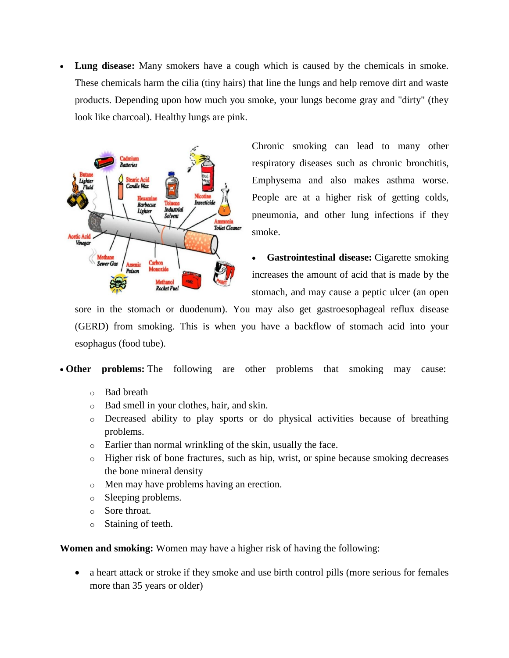**Lung disease:** Many smokers have a cough which is caused by the chemicals in smoke. These chemicals harm the cilia (tiny hairs) that line the lungs and help remove dirt and waste products. Depending upon how much you smoke, your lungs become gray and "dirty" (they look like charcoal). Healthy lungs are pink.



Chronic smoking can lead to many other respiratory diseases such as chronic bronchitis, Emphysema and also makes asthma worse. People are at a higher risk of getting colds, pneumonia, and other lung infections if they smoke.

 **Gastrointestinal disease:** Cigarette smoking increases the amount of acid that is made by the stomach, and may cause a peptic ulcer (an open

sore in the stomach or duodenum). You may also get gastroesophageal reflux disease (GERD) from smoking. This is when you have a backflow of stomach acid into your esophagus (food tube).

**Other problems:** The following are other problems that smoking may cause:

- o Bad breath
- o Bad smell in your clothes, hair, and skin.
- o Decreased ability to play sports or do physical activities because of breathing problems.
- o Earlier than normal wrinkling of the skin, usually the face.
- o Higher risk of bone fractures, such as hip, wrist, or spine because smoking decreases the bone mineral density
- o Men may have problems having an erection.
- o Sleeping problems.
- o Sore throat.
- o Staining of teeth.

**Women and smoking:** Women may have a higher risk of having the following:

 a heart attack or stroke if they smoke and use birth control pills (more serious for females more than 35 years or older)